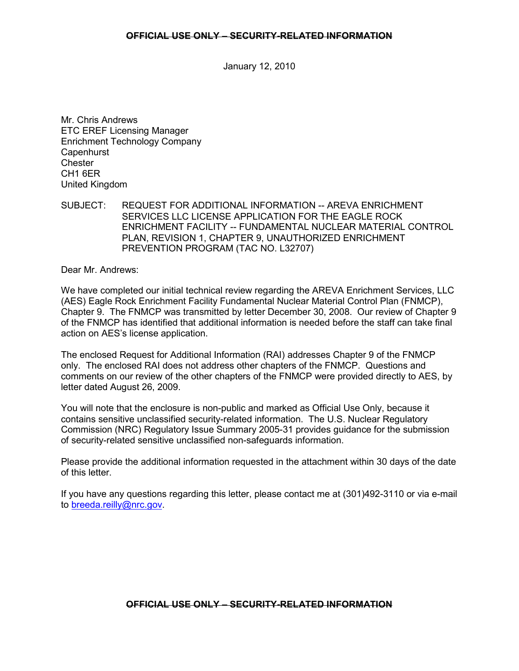## **OFFICIAL USE ONLY – SECURITY-RELATED INFORMATION**

January 12, 2010

Mr. Chris Andrews ETC EREF Licensing Manager Enrichment Technology Company **Capenhurst Chester** CH1 6ER United Kingdom

SUBJECT: REQUEST FOR ADDITIONAL INFORMATION -- AREVA ENRICHMENT SERVICES LLC LICENSE APPLICATION FOR THE EAGLE ROCK ENRICHMENT FACILITY -- FUNDAMENTAL NUCLEAR MATERIAL CONTROL PLAN, REVISION 1, CHAPTER 9, UNAUTHORIZED ENRICHMENT PREVENTION PROGRAM (TAC NO. L32707)

Dear Mr. Andrews:

We have completed our initial technical review regarding the AREVA Enrichment Services, LLC (AES) Eagle Rock Enrichment Facility Fundamental Nuclear Material Control Plan (FNMCP), Chapter 9. The FNMCP was transmitted by letter December 30, 2008. Our review of Chapter 9 of the FNMCP has identified that additional information is needed before the staff can take final action on AES's license application.

The enclosed Request for Additional Information (RAI) addresses Chapter 9 of the FNMCP only. The enclosed RAI does not address other chapters of the FNMCP. Questions and comments on our review of the other chapters of the FNMCP were provided directly to AES, by letter dated August 26, 2009.

You will note that the enclosure is non-public and marked as Official Use Only, because it contains sensitive unclassified security-related information. The U.S. Nuclear Regulatory Commission (NRC) Regulatory Issue Summary 2005-31 provides guidance for the submission of security-related sensitive unclassified non-safeguards information.

Please provide the additional information requested in the attachment within 30 days of the date of this letter.

If you have any questions regarding this letter, please contact me at (301)492-3110 or via e-mail to breeda.reilly@nrc.gov.

## **OFFICIAL USE ONLY – SECURITY-RELATED INFORMATION**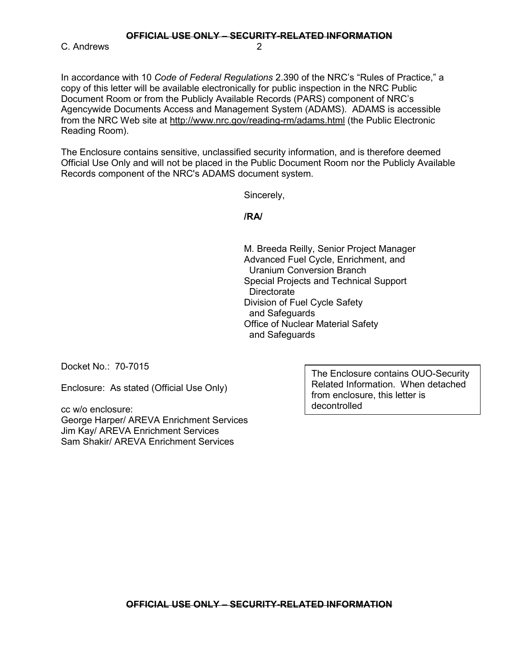**OFFICIAL USE ONLY – SECURITY-RELATED INFORMATION**

C. Andrews 2

In accordance with 10 *Code of Federal Regulations* 2.390 of the NRC's "Rules of Practice," a copy of this letter will be available electronically for public inspection in the NRC Public Document Room or from the Publicly Available Records (PARS) component of NRC's Agencywide Documents Access and Management System (ADAMS). ADAMS is accessible from the NRC Web site at http://www.nrc.gov/reading-rm/adams.html (the Public Electronic Reading Room).

The Enclosure contains sensitive, unclassified security information, and is therefore deemed Official Use Only and will not be placed in the Public Document Room nor the Publicly Available Records component of the NRC's ADAMS document system.

Sincerely,

**/RA/** 

 M. Breeda Reilly, Senior Project Manager Advanced Fuel Cycle, Enrichment, and Uranium Conversion Branch Special Projects and Technical Support **Directorate**  Division of Fuel Cycle Safety and Safeguards Office of Nuclear Material Safety and Safeguards

Docket No.: 70-7015

Enclosure: As stated (Official Use Only)

cc w/o enclosure: George Harper/ AREVA Enrichment Services Jim Kay/ AREVA Enrichment Services Sam Shakir/ AREVA Enrichment Services

The Enclosure contains OUO-Security Related Information. When detached from enclosure, this letter is decontrolled